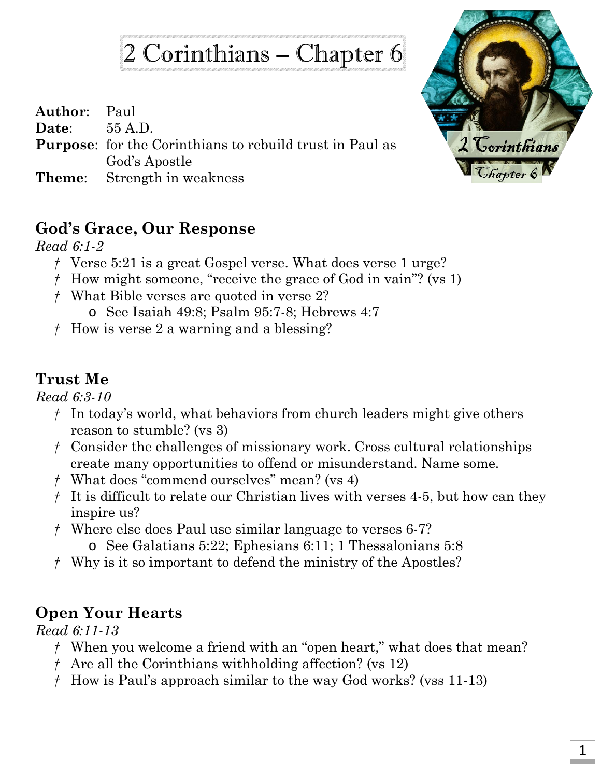# 2 Corinthians – Chapter 6

| <b>Author:</b> Paul |                                                                 |
|---------------------|-----------------------------------------------------------------|
| Date: $55 A.D.$     |                                                                 |
|                     | <b>Purpose:</b> for the Corinthians to rebuild trust in Paul as |
|                     | God's Apostle                                                   |
|                     | <b>Theme:</b> Strength in weakness                              |



#### **God's Grace, Our Response**

*Read 6:1-2*

- *†* Verse 5:21 is a great Gospel verse. What does verse 1 urge?
- *†* How might someone, "receive the grace of God in vain"? (vs 1)
- *†* What Bible verses are quoted in verse 2?
	- o See Isaiah 49:8; Psalm 95:7-8; Hebrews 4:7
- *†* How is verse 2 a warning and a blessing?

## **Trust Me**

*Read 6:3-10*

- *†* In today's world, what behaviors from church leaders might give others reason to stumble? (vs 3)
- *†* Consider the challenges of missionary work. Cross cultural relationships create many opportunities to offend or misunderstand. Name some.
- *†* What does "commend ourselves" mean? (vs 4)
- *†* It is difficult to relate our Christian lives with verses 4-5, but how can they inspire us?
- *†* Where else does Paul use similar language to verses 6-7?
	- o See Galatians 5:22; Ephesians 6:11; 1 Thessalonians 5:8
- *†* Why is it so important to defend the ministry of the Apostles?

## **Open Your Hearts**

*Read 6:11-13*

- *†* When you welcome a friend with an "open heart," what does that mean?
- *†* Are all the Corinthians withholding affection? (vs 12)
- *†* How is Paul's approach similar to the way God works? (vss 11-13)